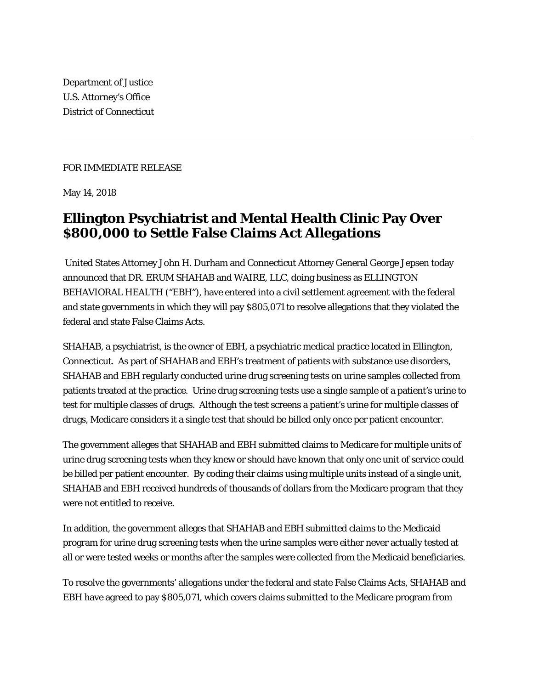Department of Justice U.S. Attorney's Office District of Connecticut

## FOR IMMEDIATE RELEASE

May 14, 2018

## **Ellington Psychiatrist and Mental Health Clinic Pay Over \$800,000 to Settle False Claims Act Allegations**

United States Attorney John H. Durham and Connecticut Attorney General George Jepsen today announced that DR. ERUM SHAHAB and WAIRE, LLC, doing business as ELLINGTON BEHAVIORAL HEALTH ("EBH"), have entered into a civil settlement agreement with the federal and state governments in which they will pay \$805,071 to resolve allegations that they violated the federal and state False Claims Acts.

SHAHAB, a psychiatrist, is the owner of EBH, a psychiatric medical practice located in Ellington, Connecticut. As part of SHAHAB and EBH's treatment of patients with substance use disorders, SHAHAB and EBH regularly conducted urine drug screening tests on urine samples collected from patients treated at the practice. Urine drug screening tests use a single sample of a patient's urine to test for multiple classes of drugs. Although the test screens a patient's urine for multiple classes of drugs, Medicare considers it a single test that should be billed only once per patient encounter.

The government alleges that SHAHAB and EBH submitted claims to Medicare for multiple units of urine drug screening tests when they knew or should have known that only one unit of service could be billed per patient encounter. By coding their claims using multiple units instead of a single unit, SHAHAB and EBH received hundreds of thousands of dollars from the Medicare program that they were not entitled to receive.

In addition, the government alleges that SHAHAB and EBH submitted claims to the Medicaid program for urine drug screening tests when the urine samples were either never actually tested at all or were tested weeks or months after the samples were collected from the Medicaid beneficiaries.

To resolve the governments' allegations under the federal and state False Claims Acts, SHAHAB and EBH have agreed to pay \$805,071, which covers claims submitted to the Medicare program from